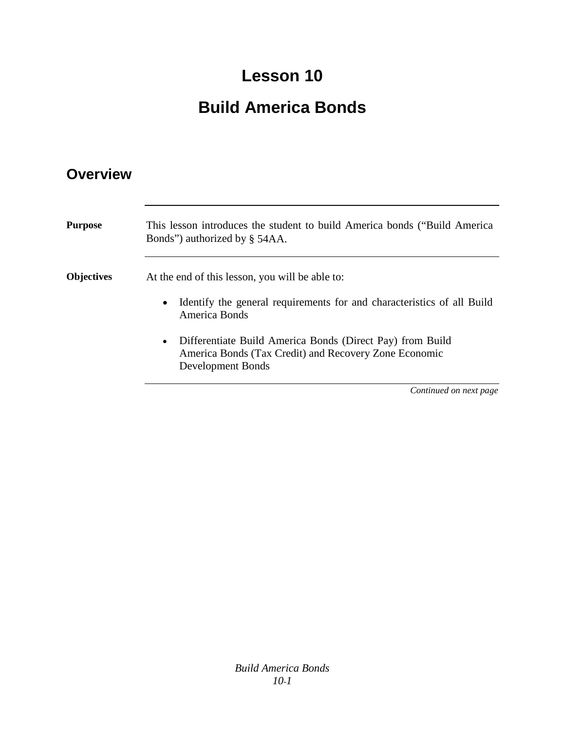### **Lesson 10**

### **Build America Bonds**

### **Overview**

| <b>Purpose</b>    | This lesson introduces the student to build America bonds ("Build America"<br>Bonds") authorized by § 54AA.                                          |
|-------------------|------------------------------------------------------------------------------------------------------------------------------------------------------|
| <b>Objectives</b> | At the end of this lesson, you will be able to:                                                                                                      |
|                   | Identify the general requirements for and characteristics of all Build<br>America Bonds                                                              |
|                   | Differentiate Build America Bonds (Direct Pay) from Build<br>$\bullet$<br>America Bonds (Tax Credit) and Recovery Zone Economic<br>Development Bonds |
|                   | Continued on next page                                                                                                                               |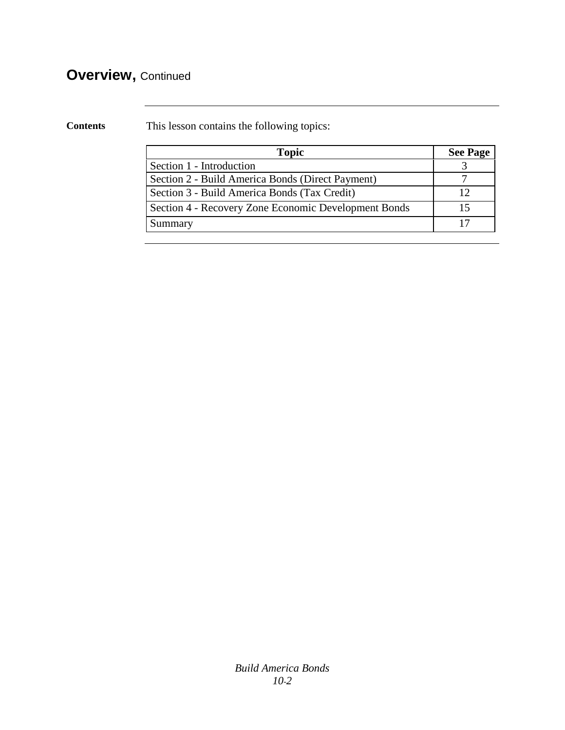### **Overview,** Continued

**Contents** This lesson contains the following topics:

| <b>Topic</b>                                         | <b>See Page</b> |
|------------------------------------------------------|-----------------|
| Section 1 - Introduction                             |                 |
| Section 2 - Build America Bonds (Direct Payment)     |                 |
| Section 3 - Build America Bonds (Tax Credit)         |                 |
| Section 4 - Recovery Zone Economic Development Bonds |                 |
| Summary                                              |                 |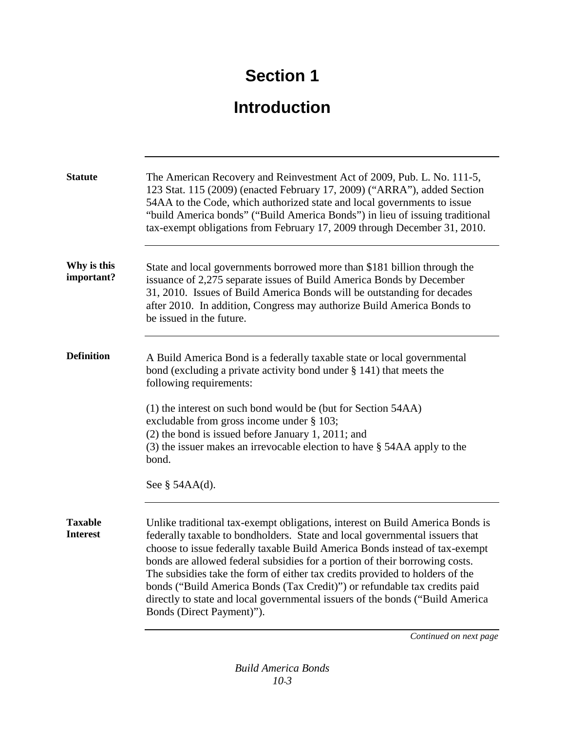## **Introduction**

| <b>Statute</b>                    | The American Recovery and Reinvestment Act of 2009, Pub. L. No. 111-5,<br>123 Stat. 115 (2009) (enacted February 17, 2009) ("ARRA"), added Section<br>54AA to the Code, which authorized state and local governments to issue<br>"build America bonds" ("Build America Bonds") in lieu of issuing traditional<br>tax-exempt obligations from February 17, 2009 through December 31, 2010.                                                                                                                                                                                                             |
|-----------------------------------|-------------------------------------------------------------------------------------------------------------------------------------------------------------------------------------------------------------------------------------------------------------------------------------------------------------------------------------------------------------------------------------------------------------------------------------------------------------------------------------------------------------------------------------------------------------------------------------------------------|
| Why is this<br>important?         | State and local governments borrowed more than \$181 billion through the<br>issuance of 2,275 separate issues of Build America Bonds by December<br>31, 2010. Issues of Build America Bonds will be outstanding for decades<br>after 2010. In addition, Congress may authorize Build America Bonds to<br>be issued in the future.                                                                                                                                                                                                                                                                     |
| <b>Definition</b>                 | A Build America Bond is a federally taxable state or local governmental<br>bond (excluding a private activity bond under $\S$ 141) that meets the<br>following requirements:<br>(1) the interest on such bond would be (but for Section 54AA)<br>excludable from gross income under § 103;<br>(2) the bond is issued before January 1, 2011; and<br>$(3)$ the issuer makes an irrevocable election to have § 54AA apply to the<br>bond.<br>See $\S$ 54AA(d).                                                                                                                                          |
| <b>Taxable</b><br><b>Interest</b> | Unlike traditional tax-exempt obligations, interest on Build America Bonds is<br>federally taxable to bondholders. State and local governmental issuers that<br>choose to issue federally taxable Build America Bonds instead of tax-exempt<br>bonds are allowed federal subsidies for a portion of their borrowing costs.<br>The subsidies take the form of either tax credits provided to holders of the<br>bonds ("Build America Bonds (Tax Credit)") or refundable tax credits paid<br>directly to state and local governmental issuers of the bonds ("Build America<br>Bonds (Direct Payment)"). |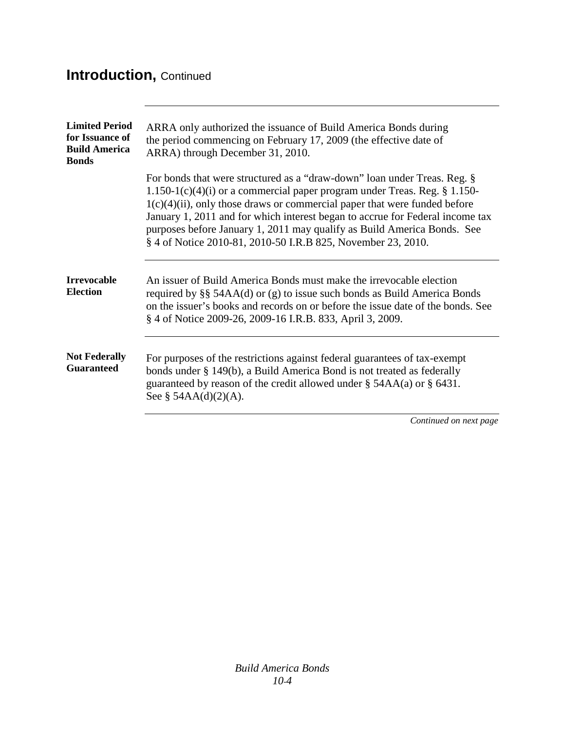### **Introduction,** Continued

| <b>Limited Period</b><br>for Issuance of<br><b>Build America</b><br><b>Bonds</b> | ARRA only authorized the issuance of Build America Bonds during<br>the period commencing on February 17, 2009 (the effective date of<br>ARRA) through December 31, 2010.                                                                                                                                                                                                                                                                                              |
|----------------------------------------------------------------------------------|-----------------------------------------------------------------------------------------------------------------------------------------------------------------------------------------------------------------------------------------------------------------------------------------------------------------------------------------------------------------------------------------------------------------------------------------------------------------------|
|                                                                                  | For bonds that were structured as a "draw-down" loan under Treas. Reg. §<br>1.150-1(c)(4)(i) or a commercial paper program under Treas. Reg. $\S 1.150$ -<br>$1(c)(4)(ii)$ , only those draws or commercial paper that were funded before<br>January 1, 2011 and for which interest began to accrue for Federal income tax<br>purposes before January 1, 2011 may qualify as Build America Bonds. See<br>§ 4 of Notice 2010-81, 2010-50 I.R.B 825, November 23, 2010. |
| <b>Irrevocable</b><br><b>Election</b>                                            | An issuer of Build America Bonds must make the irrevocable election<br>required by $\S$ 54AA(d) or (g) to issue such bonds as Build America Bonds<br>on the issuer's books and records on or before the issue date of the bonds. See<br>§ 4 of Notice 2009-26, 2009-16 I.R.B. 833, April 3, 2009.                                                                                                                                                                     |
| <b>Not Federally</b><br><b>Guaranteed</b>                                        | For purposes of the restrictions against federal guarantees of tax-exempt<br>bonds under § 149(b), a Build America Bond is not treated as federally<br>guaranteed by reason of the credit allowed under $\S$ 54AA(a) or $\S$ 6431.<br>See § $54AA(d)(2)(A)$ .                                                                                                                                                                                                         |
|                                                                                  | Continued on next page                                                                                                                                                                                                                                                                                                                                                                                                                                                |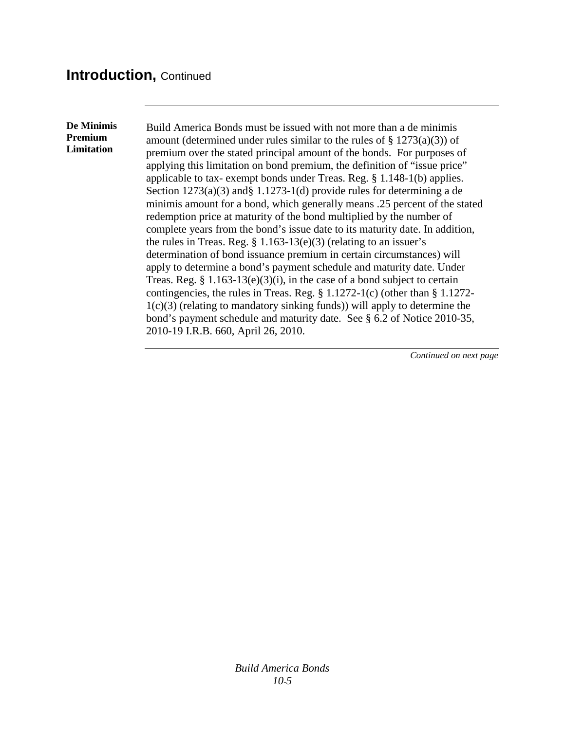#### **Introduction,** Continued

**De Minimis Premium Limitation**

Build America Bonds must be issued with not more than a de minimis amount (determined under rules similar to the rules of  $\S$  1273(a)(3)) of premium over the stated principal amount of the bonds. For purposes of applying this limitation on bond premium, the definition of "issue price" applicable to tax- exempt bonds under Treas. Reg. § 1.148-1(b) applies. Section 1273(a)(3) and§ 1.1273-1(d) provide rules for determining a de minimis amount for a bond, which generally means .25 percent of the stated redemption price at maturity of the bond multiplied by the number of complete years from the bond's issue date to its maturity date. In addition, the rules in Treas. Reg.  $\S 1.163-13(e)(3)$  (relating to an issuer's determination of bond issuance premium in certain circumstances) will apply to determine a bond's payment schedule and maturity date. Under Treas. Reg.  $§ 1.163-13(e)(3)(i)$ , in the case of a bond subject to certain contingencies, the rules in Treas. Reg. § 1.1272-1(c) (other than § 1.1272-  $1(c)(3)$  (relating to mandatory sinking funds)) will apply to determine the bond's payment schedule and maturity date. See § 6.2 of Notice 2010-35, 2010-19 I.R.B. 660, April 26, 2010.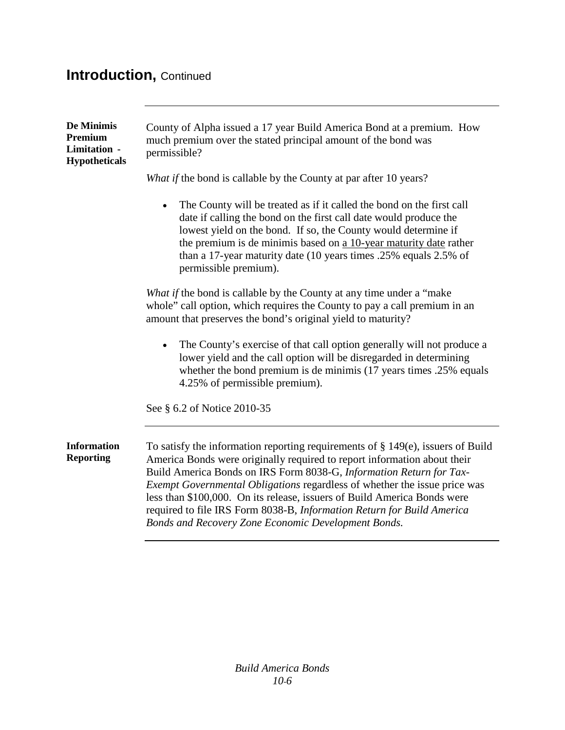### **Introduction,** Continued

| De Minimis<br>Premium<br>Limitation -<br><b>Hypotheticals</b> | County of Alpha issued a 17 year Build America Bond at a premium. How<br>much premium over the stated principal amount of the bond was<br>permissible?                                                                                                                                                                                                                                                                                                                                                                           |
|---------------------------------------------------------------|----------------------------------------------------------------------------------------------------------------------------------------------------------------------------------------------------------------------------------------------------------------------------------------------------------------------------------------------------------------------------------------------------------------------------------------------------------------------------------------------------------------------------------|
|                                                               | What if the bond is callable by the County at par after 10 years?                                                                                                                                                                                                                                                                                                                                                                                                                                                                |
|                                                               | The County will be treated as if it called the bond on the first call<br>date if calling the bond on the first call date would produce the<br>lowest yield on the bond. If so, the County would determine if<br>the premium is de minimis based on a 10-year maturity date rather<br>than a 17-year maturity date (10 years times .25% equals 2.5% of<br>permissible premium).                                                                                                                                                   |
|                                                               | What if the bond is callable by the County at any time under a "make"<br>whole" call option, which requires the County to pay a call premium in an<br>amount that preserves the bond's original yield to maturity?                                                                                                                                                                                                                                                                                                               |
|                                                               | The County's exercise of that call option generally will not produce a<br>$\bullet$<br>lower yield and the call option will be disregarded in determining<br>whether the bond premium is de minimis (17 years times .25% equals<br>4.25% of permissible premium).                                                                                                                                                                                                                                                                |
|                                                               | See § 6.2 of Notice 2010-35                                                                                                                                                                                                                                                                                                                                                                                                                                                                                                      |
| <b>Information</b><br><b>Reporting</b>                        | To satisfy the information reporting requirements of $\S 149(e)$ , issuers of Build<br>America Bonds were originally required to report information about their<br>Build America Bonds on IRS Form 8038-G, Information Return for Tax-<br>Exempt Governmental Obligations regardless of whether the issue price was<br>less than \$100,000. On its release, issuers of Build America Bonds were<br>required to file IRS Form 8038-B, Information Return for Build America<br>Bonds and Recovery Zone Economic Development Bonds. |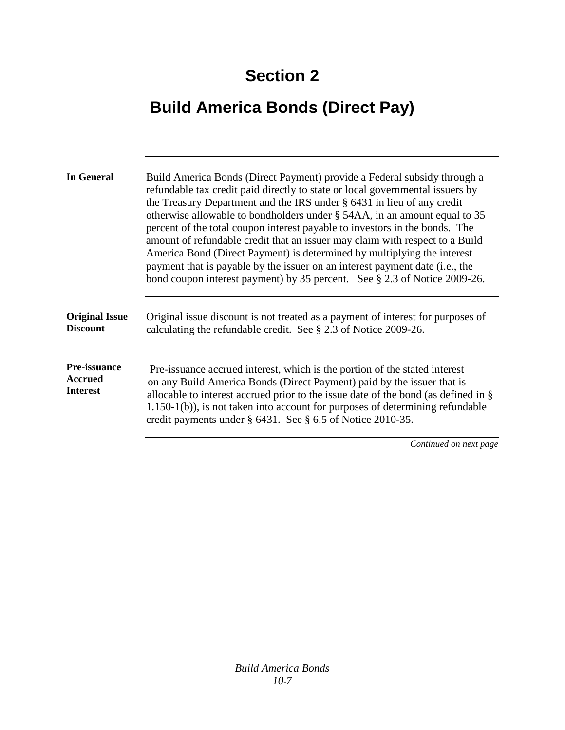# **Build America Bonds (Direct Pay)**

| <b>In General</b>                                        | Build America Bonds (Direct Payment) provide a Federal subsidy through a<br>refundable tax credit paid directly to state or local governmental issuers by<br>the Treasury Department and the IRS under § 6431 in lieu of any credit<br>otherwise allowable to bondholders under § 54AA, in an amount equal to 35<br>percent of the total coupon interest payable to investors in the bonds. The<br>amount of refundable credit that an issuer may claim with respect to a Build<br>America Bond (Direct Payment) is determined by multiplying the interest<br>payment that is payable by the issuer on an interest payment date (i.e., the<br>bond coupon interest payment) by 35 percent. See § 2.3 of Notice 2009-26. |
|----------------------------------------------------------|-------------------------------------------------------------------------------------------------------------------------------------------------------------------------------------------------------------------------------------------------------------------------------------------------------------------------------------------------------------------------------------------------------------------------------------------------------------------------------------------------------------------------------------------------------------------------------------------------------------------------------------------------------------------------------------------------------------------------|
| <b>Original Issue</b><br><b>Discount</b>                 | Original issue discount is not treated as a payment of interest for purposes of<br>calculating the refundable credit. See § 2.3 of Notice 2009-26.                                                                                                                                                                                                                                                                                                                                                                                                                                                                                                                                                                      |
| <b>Pre-issuance</b><br><b>Accrued</b><br><b>Interest</b> | Pre-issuance accrued interest, which is the portion of the stated interest<br>on any Build America Bonds (Direct Payment) paid by the issuer that is<br>allocable to interest accrued prior to the issue date of the bond (as defined in $\S$<br>$1.150-1(b)$ , is not taken into account for purposes of determining refundable<br>credit payments under $\S$ 6431. See $\S$ 6.5 of Notice 2010-35.                                                                                                                                                                                                                                                                                                                    |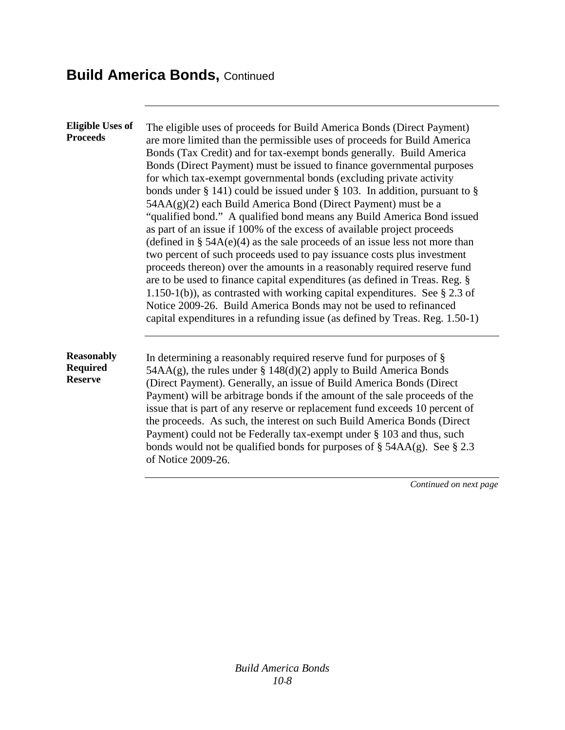| <b>Eligible Uses of</b><br><b>Proceeds</b>             | The eligible uses of proceeds for Build America Bonds (Direct Payment)<br>are more limited than the permissible uses of proceeds for Build America<br>Bonds (Tax Credit) and for tax-exempt bonds generally. Build America<br>Bonds (Direct Payment) must be issued to finance governmental purposes<br>for which tax-exempt governmental bonds (excluding private activity<br>bonds under § 141) could be issued under § 103. In addition, pursuant to §<br>54AA(g)(2) each Build America Bond (Direct Payment) must be a<br>"qualified bond." A qualified bond means any Build America Bond issued<br>as part of an issue if 100% of the excess of available project proceeds<br>(defined in $\S$ 54A(e)(4) as the sale proceeds of an issue less not more than<br>two percent of such proceeds used to pay issuance costs plus investment<br>proceeds thereon) over the amounts in a reasonably required reserve fund<br>are to be used to finance capital expenditures (as defined in Treas. Reg. §<br>1.150-1(b)), as contrasted with working capital expenditures. See $\S 2.3$ of<br>Notice 2009-26. Build America Bonds may not be used to refinanced<br>capital expenditures in a refunding issue (as defined by Treas. Reg. 1.50-1) |
|--------------------------------------------------------|-----------------------------------------------------------------------------------------------------------------------------------------------------------------------------------------------------------------------------------------------------------------------------------------------------------------------------------------------------------------------------------------------------------------------------------------------------------------------------------------------------------------------------------------------------------------------------------------------------------------------------------------------------------------------------------------------------------------------------------------------------------------------------------------------------------------------------------------------------------------------------------------------------------------------------------------------------------------------------------------------------------------------------------------------------------------------------------------------------------------------------------------------------------------------------------------------------------------------------------------------|
| <b>Reasonably</b><br><b>Required</b><br><b>Reserve</b> | In determining a reasonably required reserve fund for purposes of $\S$<br>$54AA(g)$ , the rules under § 148(d)(2) apply to Build America Bonds<br>(Direct Payment). Generally, an issue of Build America Bonds (Direct<br>Payment) will be arbitrage bonds if the amount of the sale proceeds of the<br>issue that is part of any reserve or replacement fund exceeds 10 percent of<br>the proceeds. As such, the interest on such Build America Bonds (Direct<br>Payment) could not be Federally tax-exempt under § 103 and thus, such<br>bonds would not be qualified bonds for purposes of $\S$ 54AA(g). See $\S$ 2.3<br>of Notice 2009-26.                                                                                                                                                                                                                                                                                                                                                                                                                                                                                                                                                                                                |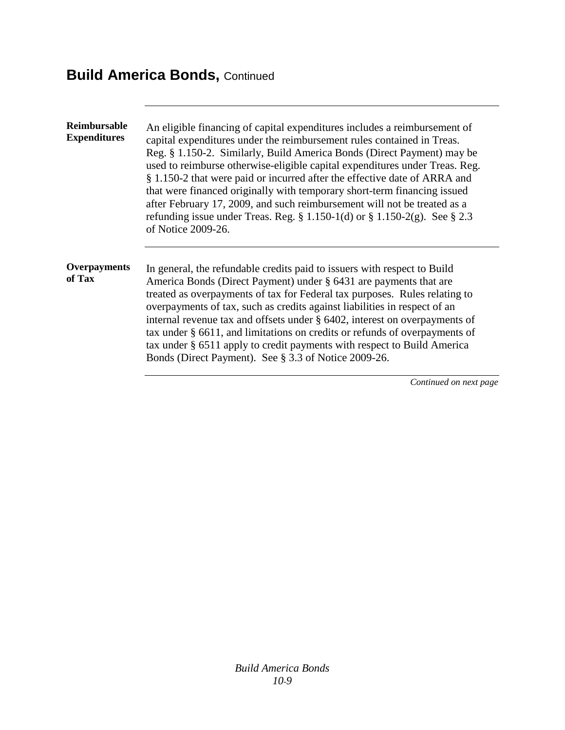| <b>Reimbursable</b><br><b>Expenditures</b> | An eligible financing of capital expenditures includes a reimbursement of<br>capital expenditures under the reimbursement rules contained in Treas.<br>Reg. § 1.150-2. Similarly, Build America Bonds (Direct Payment) may be<br>used to reimburse otherwise-eligible capital expenditures under Treas. Reg.<br>§ 1.150-2 that were paid or incurred after the effective date of ARRA and<br>that were financed originally with temporary short-term financing issued<br>after February 17, 2009, and such reimbursement will not be treated as a<br>refunding issue under Treas. Reg. $\S 1.150-1(d)$ or $\S 1.150-2(g)$ . See $\S 2.3$<br>of Notice 2009-26. |
|--------------------------------------------|----------------------------------------------------------------------------------------------------------------------------------------------------------------------------------------------------------------------------------------------------------------------------------------------------------------------------------------------------------------------------------------------------------------------------------------------------------------------------------------------------------------------------------------------------------------------------------------------------------------------------------------------------------------|
| Overpayments<br>of Tax                     | In general, the refundable credits paid to issuers with respect to Build<br>America Bonds (Direct Payment) under § 6431 are payments that are<br>treated as overpayments of tax for Federal tax purposes. Rules relating to<br>overpayments of tax, such as credits against liabilities in respect of an<br>internal revenue tax and offsets under § 6402, interest on overpayments of<br>tax under § 6611, and limitations on credits or refunds of overpayments of<br>tax under § 6511 apply to credit payments with respect to Build America<br>Bonds (Direct Payment). See § 3.3 of Notice 2009-26.                                                        |
|                                            | Continued on next page                                                                                                                                                                                                                                                                                                                                                                                                                                                                                                                                                                                                                                         |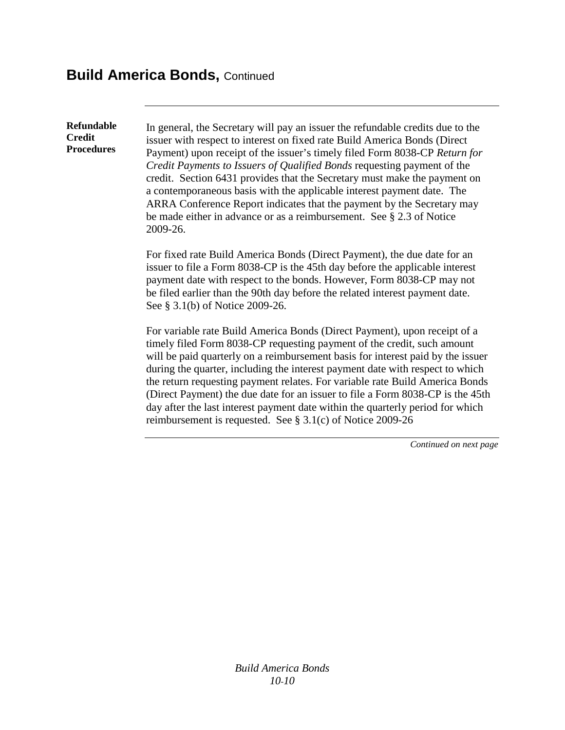**Refundable Credit Procedures**

In general, the Secretary will pay an issuer the refundable credits due to the issuer with respect to interest on fixed rate Build America Bonds (Direct Payment) upon receipt of the issuer's timely filed Form 8038-CP *Return for Credit Payments to Issuers of Qualified Bonds* requesting payment of the credit. Section 6431 provides that the Secretary must make the payment on a contemporaneous basis with the applicable interest payment date. The ARRA Conference Report indicates that the payment by the Secretary may be made either in advance or as a reimbursement. See § 2.3 of Notice 2009-26.

For fixed rate Build America Bonds (Direct Payment), the due date for an issuer to file a Form 8038-CP is the 45th day before the applicable interest payment date with respect to the bonds. However, Form 8038-CP may not be filed earlier than the 90th day before the related interest payment date. See § 3.1(b) of Notice 2009-26.

For variable rate Build America Bonds (Direct Payment), upon receipt of a timely filed Form 8038-CP requesting payment of the credit, such amount will be paid quarterly on a reimbursement basis for interest paid by the issuer during the quarter, including the interest payment date with respect to which the return requesting payment relates. For variable rate Build America Bonds (Direct Payment) the due date for an issuer to file a Form 8038-CP is the 45th day after the last interest payment date within the quarterly period for which reimbursement is requested. See § 3.1(c) of Notice 2009-26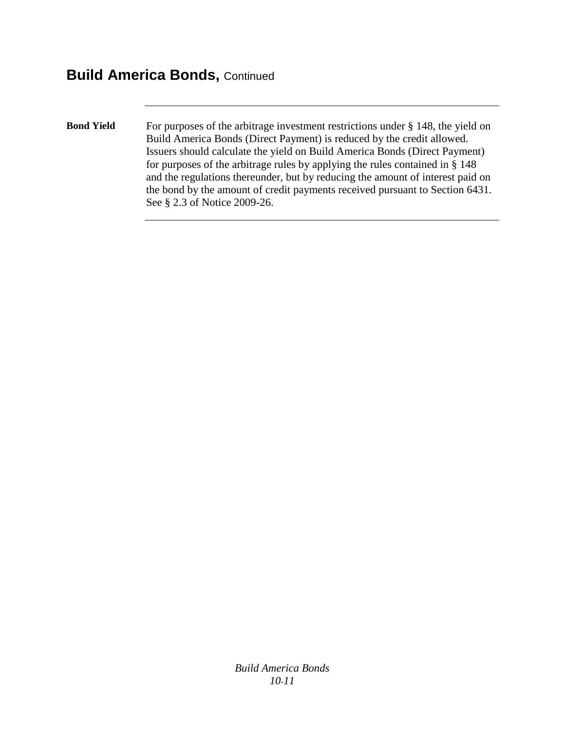**Bond Yield** For purposes of the arbitrage investment restrictions under § 148, the yield on Build America Bonds (Direct Payment) is reduced by the credit allowed. Issuers should calculate the yield on Build America Bonds (Direct Payment) for purposes of the arbitrage rules by applying the rules contained in § 148 and the regulations thereunder, but by reducing the amount of interest paid on the bond by the amount of credit payments received pursuant to Section 6431. See § 2.3 of Notice 2009-26.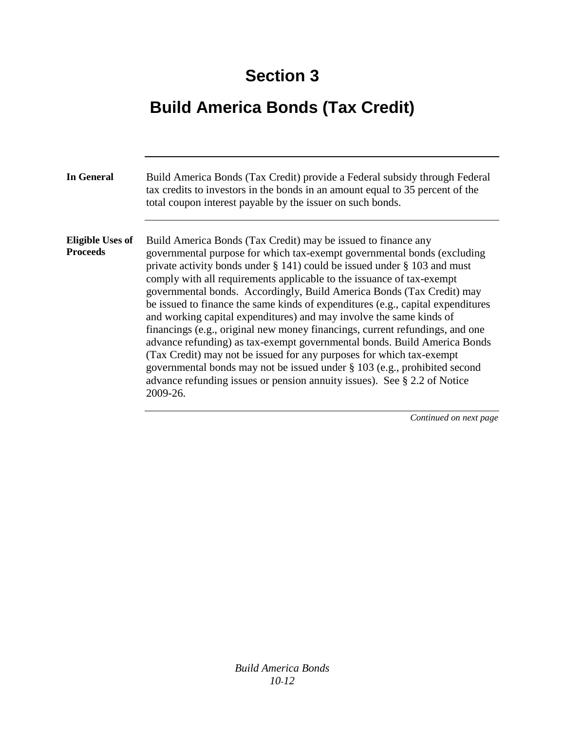# **Build America Bonds (Tax Credit)**

| <b>In General</b>                          | Build America Bonds (Tax Credit) provide a Federal subsidy through Federal<br>tax credits to investors in the bonds in an amount equal to 35 percent of the<br>total coupon interest payable by the issuer on such bonds.                                                                                                                                                                                                                                                                                                                                                                                                                                                                                                                                                                                                                                                                                                                          |
|--------------------------------------------|----------------------------------------------------------------------------------------------------------------------------------------------------------------------------------------------------------------------------------------------------------------------------------------------------------------------------------------------------------------------------------------------------------------------------------------------------------------------------------------------------------------------------------------------------------------------------------------------------------------------------------------------------------------------------------------------------------------------------------------------------------------------------------------------------------------------------------------------------------------------------------------------------------------------------------------------------|
| <b>Eligible Uses of</b><br><b>Proceeds</b> | Build America Bonds (Tax Credit) may be issued to finance any<br>governmental purpose for which tax-exempt governmental bonds (excluding<br>private activity bonds under $\S$ 141) could be issued under $\S$ 103 and must<br>comply with all requirements applicable to the issuance of tax-exempt<br>governmental bonds. Accordingly, Build America Bonds (Tax Credit) may<br>be issued to finance the same kinds of expenditures (e.g., capital expenditures<br>and working capital expenditures) and may involve the same kinds of<br>financings (e.g., original new money financings, current refundings, and one<br>advance refunding) as tax-exempt governmental bonds. Build America Bonds<br>(Tax Credit) may not be issued for any purposes for which tax-exempt<br>governmental bonds may not be issued under § 103 (e.g., prohibited second<br>advance refunding issues or pension annuity issues). See $\S 2.2$ of Notice<br>2009-26. |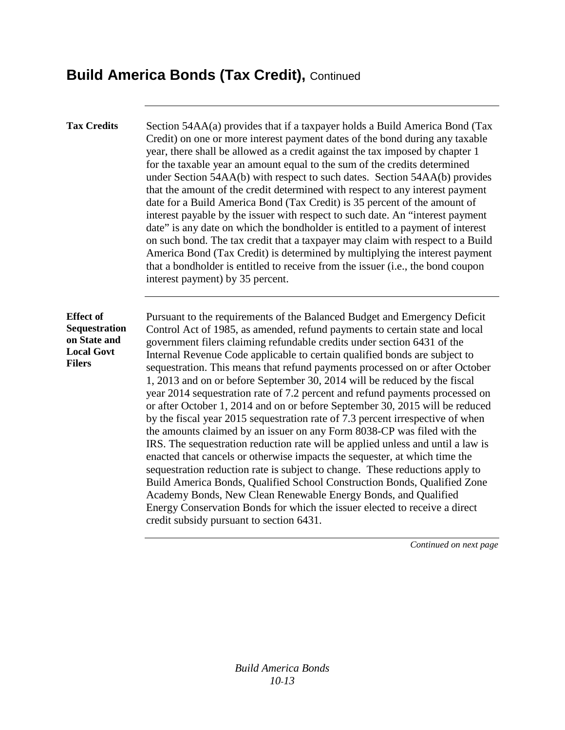#### **Build America Bonds (Tax Credit),** Continued

**Tax Credits** Section 54AA(a) provides that if a taxpayer holds a Build America Bond (Tax Credit) on one or more interest payment dates of the bond during any taxable year, there shall be allowed as a credit against the tax imposed by chapter 1 for the taxable year an amount equal to the sum of the credits determined under Section 54AA(b) with respect to such dates. Section 54AA(b) provides that the amount of the credit determined with respect to any interest payment date for a Build America Bond (Tax Credit) is 35 percent of the amount of interest payable by the issuer with respect to such date. An "interest payment date" is any date on which the bondholder is entitled to a payment of interest on such bond. The tax credit that a taxpayer may claim with respect to a Build America Bond (Tax Credit) is determined by multiplying the interest payment that a bondholder is entitled to receive from the issuer (i.e., the bond coupon interest payment) by 35 percent.

**Effect of Sequestration on State and Local Govt Filers**

Pursuant to the requirements of the Balanced Budget and Emergency Deficit Control Act of 1985, as amended, refund payments to certain state and local government filers claiming refundable credits under section 6431 of the Internal Revenue Code applicable to certain qualified bonds are subject to sequestration. This means that refund payments processed on or after October 1, 2013 and on or before September 30, 2014 will be reduced by the fiscal year 2014 sequestration rate of 7.2 percent and refund payments processed on or after October 1, 2014 and on or before September 30, 2015 will be reduced by the fiscal year 2015 sequestration rate of 7.3 percent irrespective of when the amounts claimed by an issuer on any Form 8038-CP was filed with the IRS. The sequestration reduction rate will be applied unless and until a law is enacted that cancels or otherwise impacts the sequester, at which time the sequestration reduction rate is subject to change. These reductions apply to Build America Bonds, Qualified School Construction Bonds, Qualified Zone Academy Bonds, New Clean Renewable Energy Bonds, and Qualified Energy Conservation Bonds for which the issuer elected to receive a direct credit subsidy pursuant to section 6431.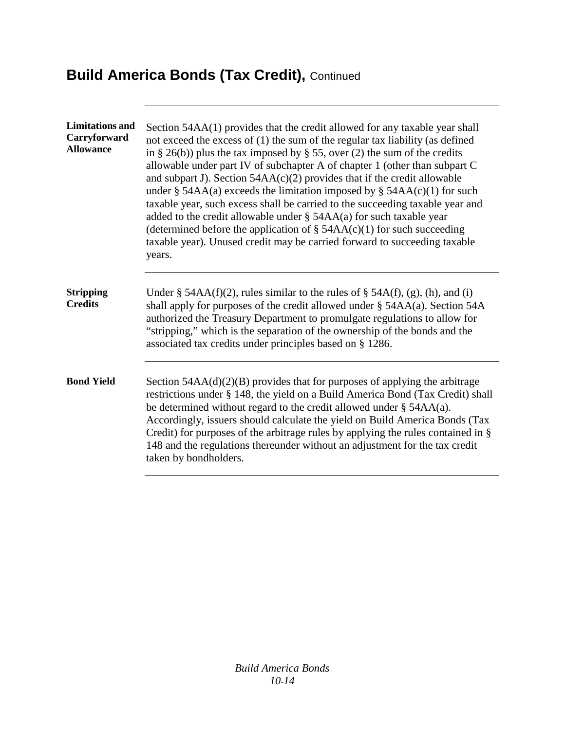# **Build America Bonds (Tax Credit), Continued**

| <b>Limitations and</b><br>Carryforward<br><b>Allowance</b> | Section 54AA(1) provides that the credit allowed for any taxable year shall<br>not exceed the excess of (1) the sum of the regular tax liability (as defined<br>in § 26(b)) plus the tax imposed by § 55, over (2) the sum of the credits<br>allowable under part IV of subchapter A of chapter 1 (other than subpart C<br>and subpart J). Section $54AA(c)(2)$ provides that if the credit allowable<br>under § 54AA(a) exceeds the limitation imposed by § 54AA(c)(1) for such<br>taxable year, such excess shall be carried to the succeeding taxable year and<br>added to the credit allowable under $\S$ 54AA(a) for such taxable year<br>(determined before the application of $\S$ 54AA(c)(1) for such succeeding<br>taxable year). Unused credit may be carried forward to succeeding taxable<br>years. |
|------------------------------------------------------------|-----------------------------------------------------------------------------------------------------------------------------------------------------------------------------------------------------------------------------------------------------------------------------------------------------------------------------------------------------------------------------------------------------------------------------------------------------------------------------------------------------------------------------------------------------------------------------------------------------------------------------------------------------------------------------------------------------------------------------------------------------------------------------------------------------------------|
| <b>Stripping</b><br><b>Credits</b>                         | Under § 54AA(f)(2), rules similar to the rules of § 54A(f), (g), (h), and (i)<br>shall apply for purposes of the credit allowed under § 54AA(a). Section 54A<br>authorized the Treasury Department to promulgate regulations to allow for<br>"stripping," which is the separation of the ownership of the bonds and the<br>associated tax credits under principles based on § 1286.                                                                                                                                                                                                                                                                                                                                                                                                                             |
| <b>Bond Yield</b>                                          | Section $54AA(d)(2)(B)$ provides that for purposes of applying the arbitrage<br>restrictions under § 148, the yield on a Build America Bond (Tax Credit) shall<br>be determined without regard to the credit allowed under $\S$ 54AA(a).<br>Accordingly, issuers should calculate the yield on Build America Bonds (Tax<br>Credit) for purposes of the arbitrage rules by applying the rules contained in §<br>148 and the regulations thereunder without an adjustment for the tax credit<br>taken by bondholders.                                                                                                                                                                                                                                                                                             |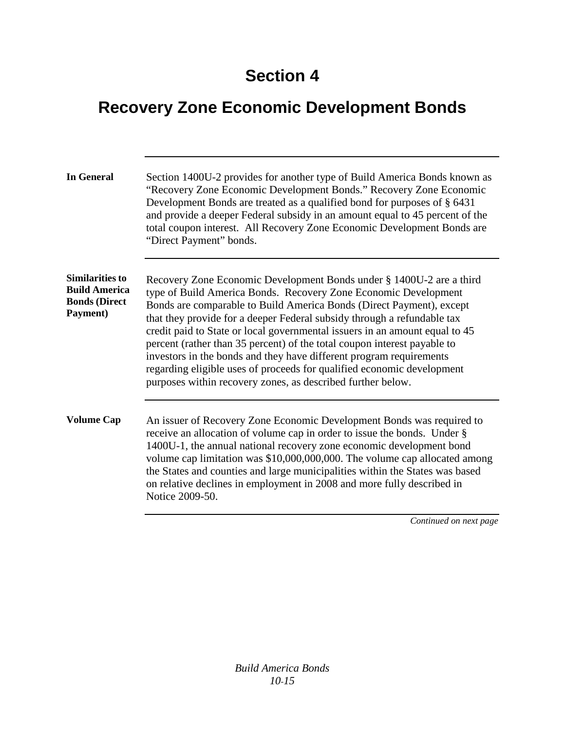## **Recovery Zone Economic Development Bonds**

| <b>In General</b>                                                                  | Section 1400U-2 provides for another type of Build America Bonds known as<br>"Recovery Zone Economic Development Bonds." Recovery Zone Economic<br>Development Bonds are treated as a qualified bond for purposes of § 6431<br>and provide a deeper Federal subsidy in an amount equal to 45 percent of the<br>total coupon interest. All Recovery Zone Economic Development Bonds are<br>"Direct Payment" bonds.                                                                                                                                                                                                                                                     |
|------------------------------------------------------------------------------------|-----------------------------------------------------------------------------------------------------------------------------------------------------------------------------------------------------------------------------------------------------------------------------------------------------------------------------------------------------------------------------------------------------------------------------------------------------------------------------------------------------------------------------------------------------------------------------------------------------------------------------------------------------------------------|
| <b>Similarities to</b><br><b>Build America</b><br><b>Bonds (Direct</b><br>Payment) | Recovery Zone Economic Development Bonds under § 1400U-2 are a third<br>type of Build America Bonds. Recovery Zone Economic Development<br>Bonds are comparable to Build America Bonds (Direct Payment), except<br>that they provide for a deeper Federal subsidy through a refundable tax<br>credit paid to State or local governmental issuers in an amount equal to 45<br>percent (rather than 35 percent) of the total coupon interest payable to<br>investors in the bonds and they have different program requirements<br>regarding eligible uses of proceeds for qualified economic development<br>purposes within recovery zones, as described further below. |
| <b>Volume Cap</b>                                                                  | An issuer of Recovery Zone Economic Development Bonds was required to<br>receive an allocation of volume cap in order to issue the bonds. Under §<br>1400U-1, the annual national recovery zone economic development bond<br>volume cap limitation was \$10,000,000,000. The volume cap allocated among<br>the States and counties and large municipalities within the States was based<br>on relative declines in employment in 2008 and more fully described in<br>Notice 2009-50.                                                                                                                                                                                  |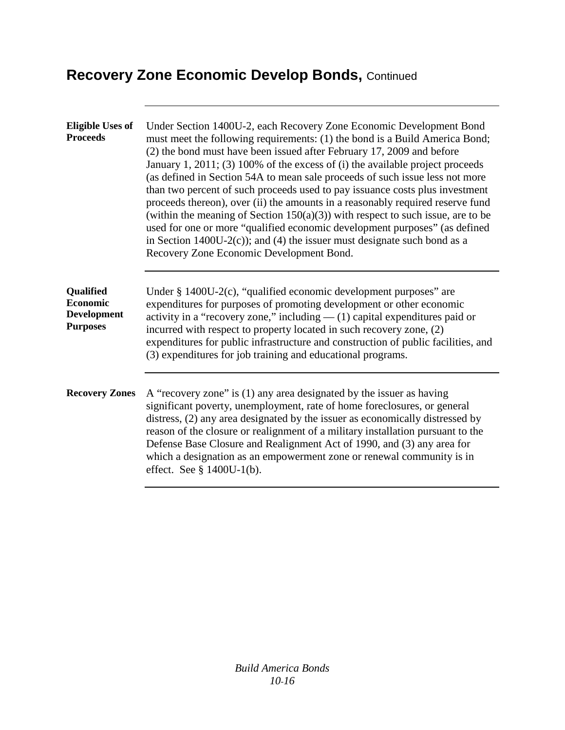### **Recovery Zone Economic Develop Bonds,** Continued

| <b>Eligible Uses of</b><br><b>Proceeds</b>                            | Under Section 1400U-2, each Recovery Zone Economic Development Bond<br>must meet the following requirements: (1) the bond is a Build America Bond;<br>(2) the bond must have been issued after February 17, 2009 and before<br>January 1, 2011; (3) 100% of the excess of (i) the available project proceeds<br>(as defined in Section 54A to mean sale proceeds of such issue less not more<br>than two percent of such proceeds used to pay issuance costs plus investment<br>proceeds thereon), over (ii) the amounts in a reasonably required reserve fund<br>(within the meaning of Section $150(a)(3)$ ) with respect to such issue, are to be<br>used for one or more "qualified economic development purposes" (as defined<br>in Section 1400U-2(c)); and (4) the issuer must designate such bond as a<br>Recovery Zone Economic Development Bond. |
|-----------------------------------------------------------------------|------------------------------------------------------------------------------------------------------------------------------------------------------------------------------------------------------------------------------------------------------------------------------------------------------------------------------------------------------------------------------------------------------------------------------------------------------------------------------------------------------------------------------------------------------------------------------------------------------------------------------------------------------------------------------------------------------------------------------------------------------------------------------------------------------------------------------------------------------------|
| Qualified<br><b>Economic</b><br><b>Development</b><br><b>Purposes</b> | Under $\S$ 1400U-2(c), "qualified economic development purposes" are<br>expenditures for purposes of promoting development or other economic<br>activity in a "recovery zone," including $-$ (1) capital expenditures paid or<br>incurred with respect to property located in such recovery zone, (2)<br>expenditures for public infrastructure and construction of public facilities, and<br>(3) expenditures for job training and educational programs.                                                                                                                                                                                                                                                                                                                                                                                                  |
| <b>Recovery Zones</b>                                                 | A "recovery zone" is (1) any area designated by the issuer as having<br>significant poverty, unemployment, rate of home foreclosures, or general<br>distress, (2) any area designated by the issuer as economically distressed by<br>reason of the closure or realignment of a military installation pursuant to the<br>Defense Base Closure and Realignment Act of 1990, and (3) any area for<br>which a designation as an empowerment zone or renewal community is in<br>effect. See $\S$ 1400U-1(b).                                                                                                                                                                                                                                                                                                                                                    |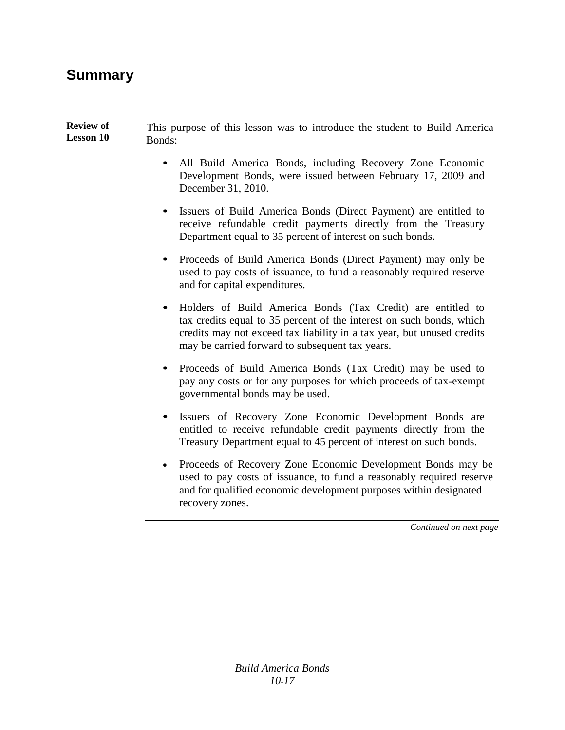#### **Summary**

| <b>Review of</b><br>This purpose of this lesson was to introduce the student to Build America<br><b>Lesson 10</b><br>Bonds: |
|-----------------------------------------------------------------------------------------------------------------------------|
|-----------------------------------------------------------------------------------------------------------------------------|

- All Build America Bonds, including Recovery Zone Economic Development Bonds, were issued between February 17, 2009 and December 31, 2010.
- Issuers of Build America Bonds (Direct Payment) are entitled to receive refundable credit payments directly from the Treasury Department equal to 35 percent of interest on such bonds.
- Proceeds of Build America Bonds (Direct Payment) may only be used to pay costs of issuance, to fund a reasonably required reserve and for capital expenditures.
- Holders of Build America Bonds (Tax Credit) are entitled to tax credits equal to 35 percent of the interest on such bonds, which credits may not exceed tax liability in a tax year, but unused credits may be carried forward to subsequent tax years.
- Proceeds of Build America Bonds (Tax Credit) may be used to pay any costs or for any purposes for which proceeds of tax-exempt governmental bonds may be used.
- Issuers of Recovery Zone Economic Development Bonds are entitled to receive refundable credit payments directly from the Treasury Department equal to 45 percent of interest on such bonds.
- Proceeds of Recovery Zone Economic Development Bonds may be used to pay costs of issuance, to fund a reasonably required reserve and for qualified economic development purposes within designated recovery zones.